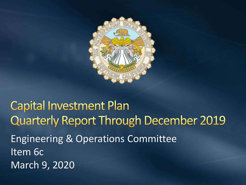

### **Capital Investment Plan Quarterly Report Through December 2019** Engineering & Operations Committee Item 6c March 9, 2020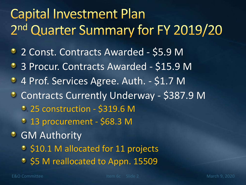# **Capital Investment Plan** 2<sup>nd</sup> Quarter Summary for FY 2019/20

- 2 Const. Contracts Awarded \$5.9 M
- **3 Procur. Contracts Awarded \$15.9 M**
- <sup>2</sup> 4 Prof. Services Agree. Auth. \$1.7 M
- **C** Contracts Currently Underway \$387.9 M
	- 25 construction \$319.6 M
	- 13 procurement \$68.3 M
- **GM Authority** 
	- $\circ$  **\$10.1 M allocated for 11 projects**
	- \$5 M reallocated to Appn. 15509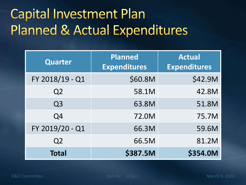# **Capital Investment Plan Planned & Actual Expenditures**

| <b>Quarter</b>  | Planned<br><b>Expenditures</b> | <b>Actual</b><br><b>Expenditures</b> |
|-----------------|--------------------------------|--------------------------------------|
| FY 2018/19 - Q1 | \$60.8M                        | \$42.9M                              |
| Q <sub>2</sub>  | 58.1M                          | 42.8M                                |
| Q <sub>3</sub>  | 63.8M                          | 51.8M                                |
| Q4              | 72.0M                          | 75.7M                                |
| FY 2019/20 - Q1 | 66.3M                          | 59.6M                                |
| Q <sub>2</sub>  | 66.5M                          | 81.2M                                |
| <b>Total</b>    | \$387.5M                       | \$354.0M                             |

E&O Committee Item 6c Slide 3 March 9, 2020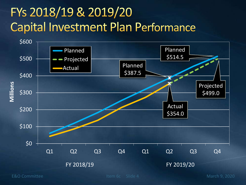### FYs 2018/19 & 2019/20 **Capital Investment Plan Performance**



E&O Committee Item 6c Slide 4 March 9, 2020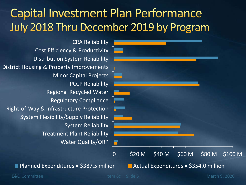#### **Capital Investment Plan Performance** July 2018 Thru December 2019 by Program



Water Quality/ORP Treatment Plant Reliability System Reliability System Flexibility/Supply Reliability Right-of-Way & Infrastructure Protection Regulatory Compliance Regional Recycled Water PCCP Reliability Minor Capital Projects District Housing & Property Improvements Distribution System Reliability Cost Efficiency & Productivity CRA Reliability

E&O Committee Item 6c Slide 5 March 9, 2020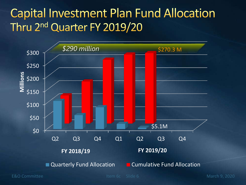#### **Capital Investment Plan Fund Allocation** Thru 2<sup>nd</sup> Quarter FY 2019/20

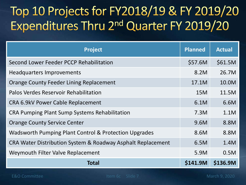## Top 10 Projects for FY2018/19 & FY 2019/20 Expenditures Thru 2<sup>nd</sup> Quarter FY 2019/20

| <b>Project</b>                                              | <b>Planned</b> | <b>Actual</b> |
|-------------------------------------------------------------|----------------|---------------|
| Second Lower Feeder PCCP Rehabilitation                     | \$57.6M        | \$61.5M       |
| <b>Headquarters Improvements</b>                            | 8.2M           | 26.7M         |
| <b>Orange County Feeder Lining Replacement</b>              | 17.1M          | 10.0M         |
| <b>Palos Verdes Reservoir Rehabilitation</b>                | 15M            | 11.5M         |
| CRA 6.9kV Power Cable Replacement                           | 6.1M           | 6.6M          |
| <b>CRA Pumping Plant Sump Systems Rehabilitation</b>        | 7.3M           | 1.1M          |
| <b>Orange County Service Center</b>                         | 9.6M           | 8.8M          |
| Wadsworth Pumping Plant Control & Protection Upgrades       | 8.6M           | 8.8M          |
| CRA Water Distribution System & Roadway Asphalt Replacement | 6.5M           | 1.4M          |
| Weymouth Filter Valve Replacement                           |                | 0.5M          |
| <b>Total</b>                                                | \$141.9M       | \$136.9M      |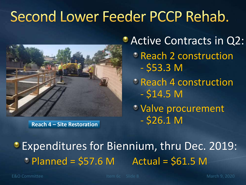# Second Lower Feeder PCCP Rehab.



**Active Contracts in Q2:** 

- Reach 2 construction  $-$  \$53.3 M
- <sup>c</sup> Reach 4 construction  $-$  \$14.5 M
- Valve procurement **Reach 4 – Site Restoration** - \$26.1 M

**Expenditures for Biennium, thru Dec. 2019:**  $\circ$  Planned = \$57.6 M Actual = \$61.5 M

E&O Committee Item 6c Slide 8 March 9, 2020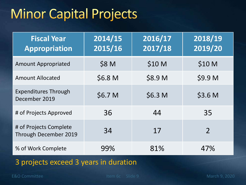## **Minor Capital Projects**

| <b>Fiscal Year</b><br><b>Appropriation</b>      | 2014/15<br>2015/16 | 2016/17<br>2017/18 | 2018/19<br>2019/20 |
|-------------------------------------------------|--------------------|--------------------|--------------------|
| <b>Amount Appropriated</b>                      | \$8 M              | \$10 M             | \$10 M             |
| <b>Amount Allocated</b>                         | \$6.8 M            | \$8.9 M            | \$9.9 M            |
| <b>Expenditures Through</b><br>December 2019    | \$6.7 M            | \$6.3 M            | \$3.6 M            |
| # of Projects Approved                          | 36                 | 44                 | 35                 |
| # of Projects Complete<br>Through December 2019 | 34                 | 17                 | $\overline{2}$     |
| % of Work Complete                              | 99%                | 81%                | 47%                |

3 projects exceed 3 years in duration

E&O Committee Item 6c Slide 9 March 9, 2020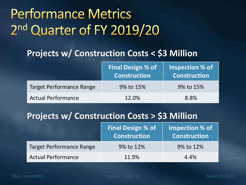# **Performance Metrics** 2nd Quarter of FY 2019/20

#### **Projects w/ Construction Costs < \$3 Million**

|                                 | <b>Final Design % of</b><br><b>Construction</b> | Inspection % of<br><b>Construction</b> |
|---------------------------------|-------------------------------------------------|----------------------------------------|
| <b>Target Performance Range</b> | 9% to 15%                                       | 9% to 15%                              |
| <b>Actual Performance</b>       | 12.0%                                           | 8.8%                                   |

#### **Projects w/ Construction Costs > \$3 Million**

|                                 | <b>Final Design % of</b><br><b>Construction</b> | Inspection % of<br><b>Construction</b> |
|---------------------------------|-------------------------------------------------|----------------------------------------|
| <b>Target Performance Range</b> | 9% to 12%                                       | 9% to 12%                              |
| <b>Actual Performance</b>       | 11.9%                                           | 4.4%                                   |

E&O Committee The Item 6c Slide 10 March 9, 2020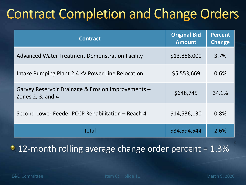# **Contract Completion and Change Orders**

| <b>Contract</b>                                                         | <b>Original Bid</b><br><b>Amount</b> | <b>Percent</b><br><b>Change</b> |
|-------------------------------------------------------------------------|--------------------------------------|---------------------------------|
| <b>Advanced Water Treatment Demonstration Facility</b>                  | \$13,856,000                         | 3.7%                            |
| Intake Pumping Plant 2.4 kV Power Line Relocation                       | \$5,553,669                          | 0.6%                            |
| Garvey Reservoir Drainage & Erosion Improvements -<br>Zones 2, 3, and 4 | \$648,745                            | 34.1%                           |
| Second Lower Feeder PCCP Rehabilitation - Reach 4                       | \$14,536,130                         | 0.8%                            |
| Total                                                                   | \$34,594,544                         | 2.6%                            |

• 12-month rolling average change order percent = 1.3%